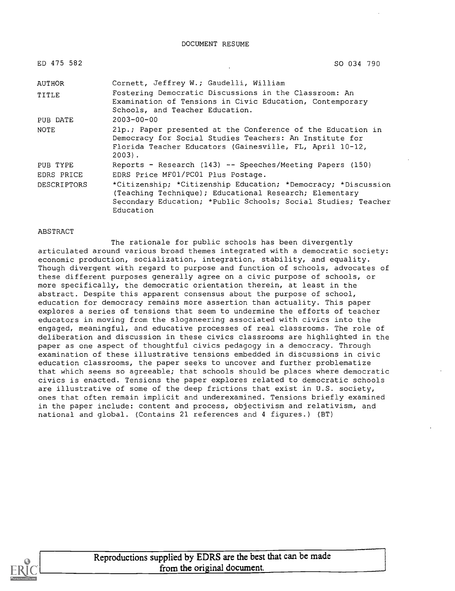| ED 475 582         | SO 034 790                                                                                                                                                                                            |
|--------------------|-------------------------------------------------------------------------------------------------------------------------------------------------------------------------------------------------------|
| AUTHOR             | Cornett, Jeffrey W.; Gaudelli, William                                                                                                                                                                |
| TITLE              | Fostering Democratic Discussions in the Classroom: An<br>Examination of Tensions in Civic Education, Contemporary<br>Schools, and Teacher Education.                                                  |
| PUB DATE           | $2003 - 00 - 00$                                                                                                                                                                                      |
| <b>NOTE</b>        | 21p.; Paper presented at the Conference of the Education in<br>Democracy for Social Studies Teachers: An Institute for<br>Florida Teacher Educators (Gainesville, FL, April 10-12,<br>$2003$ .        |
| PUB TYPE           | Reports - Research (143) -- Speeches/Meeting Papers (150)                                                                                                                                             |
| EDRS PRICE         | EDRS Price MF01/PC01 Plus Postage.                                                                                                                                                                    |
| <b>DESCRIPTORS</b> | *Citizenship; *Citizenship Education; *Democracy; *Discussion<br>(Teaching Technique); Educational Research; Elementary<br>Secondary Education; *Public Schools; Social Studies; Teacher<br>Education |

#### ABSTRACT

The rationale for public schools has been divergently articulated around various broad themes integrated with a democratic society: economic production, socialization, integration, stability, and equality. Though divergent with regard to purpose and function of schools, advocates of these different purposes generally agree on a civic purpose of schools, or more specifically, the democratic orientation therein, at least in the abstract. Despite this apparent consensus about the purpose of school, education for democracy remains more assertion than actuality. This paper explores a series of tensions that seem to undermine the efforts of teacher educators in moving from the sloganeering associated with civics into the engaged, meaningful, and educative processes of real classrooms. The role of deliberation and discussion in these civics classrooms are highlighted in the paper as one aspect of thoughtful civics pedagogy in a democracy. Through examination of these illustrative tensions embedded in discussions in civic education classrooms, the paper seeks to uncover and further problematize that which seems so agreeable; that schools should be places where democratic civics is enacted. Tensions the paper explores related to democratic schools are illustrative of some of the deep frictions that exist in U.S. society, ones that often remain implicit and underexamined. Tensions briefly examined in the paper include: content and process, objectivism and relativism, and national and global. (Contains 21 references and 4 figures.) (BT)



Reproductions supplied by EDRS are the best that can be made from the original document.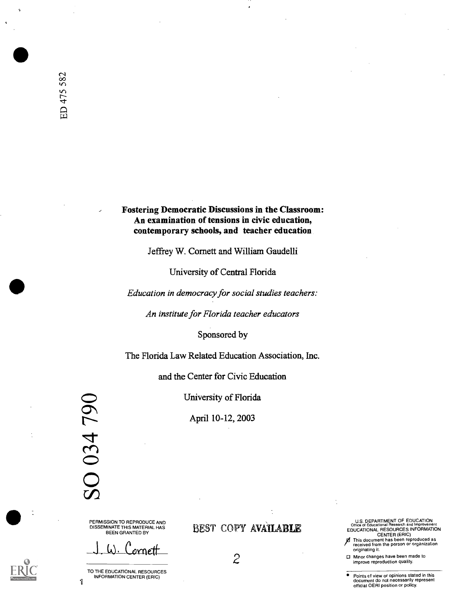Fostering Democratic Discussions in the Classroom: An examination of tensions in civic education, contemporary schools, and teacher education

Jeffrey W. Cornett and William Gaudelli

University of Central Florida

Education in democracy for social studies teachers:

An institute for Florida teacher educators

Sponsored by

The Florida Law Related Education Association, Inc.

and the Center for Civic Education

University of Florida

April 10-12, 2003

 $\Delta$  $\sim$  $\overline{O}$  $\Omega$ 

PERMISSION TO REPRODUCE AND DISSEMINATE THIS MATERIAL HAS BEEN GRANTED BY

J.W. Cornett

 $\mathbf{1}$ TO THE EDUCATIONAL RESOURCES INFORMATION CENTER (ERIC)

### BEST COPY AVAILABLE

U.S. DEPARTMENT OF EDUCATION<br>Office of Educational Research and Improveme Office of Educational Research and Improvement EDUCATIONAL RESOURCES INFORMATION CENTER (ERIC)

**z** This document has been reproduced as<br>received from the person or organization

originating it.<br>  $\bf{P}$  Minor changes have been made to<br>
improve reproduction quality.

Points cf view or opinions stated in this document do not necessarily represent official OERI position or policy.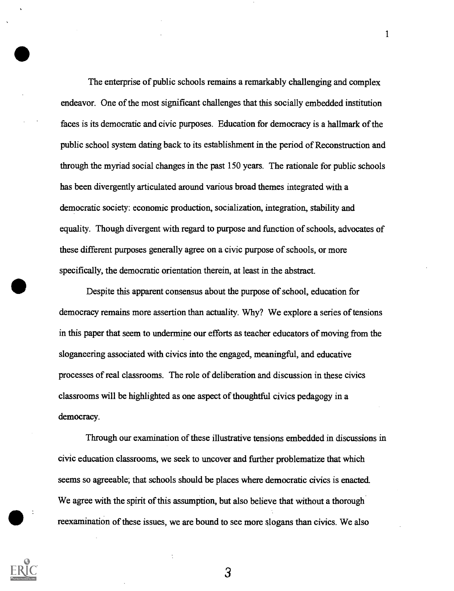The enterprise of public schools remains a remarkably challenging and complex endeavor. One of the most significant challenges that this socially embedded institution faces is its democratic and civic purposes. Education for democracy is a hallmark of the public school system dating back to its establishment in the period of Reconstruction and through the myriad social changes in the past 150 years. The rationale for public schools has been divergently articulated around various broad themes integrated with a democratic society: economic production, socialization, integration, stability and equality. Though divergent with regard to purpose and function of schools, advocates of these different purposes generally agree on a civic purpose of schools, or more specifically, the democratic orientation therein, at least in the abstract.

1

Despite this apparent consensus about the purpose of school, education for democracy remains more assertion than actuality. Why? We explore a series of tensions in this paper that seem to undermine our efforts as teacher educators of moving from the sloganeering associated with civics into the engaged, meaningful, and educative processes of real classrooms. The role of deliberation and discussion in these civics classrooms will be highlighted as one aspect of thoughtful civics pedagogy in a democracy.

Through our examination of these illustrative tensions embedded in discussions in civic education classrooms, we seek to uncover and further problematize that which seems so agreeable; that schools should be places where democratic civics is enacted\_ We agree with the spirit of this assumption, but also believe that without a thorough reexamination of these issues, we are bound to see more slogans than civics. We also

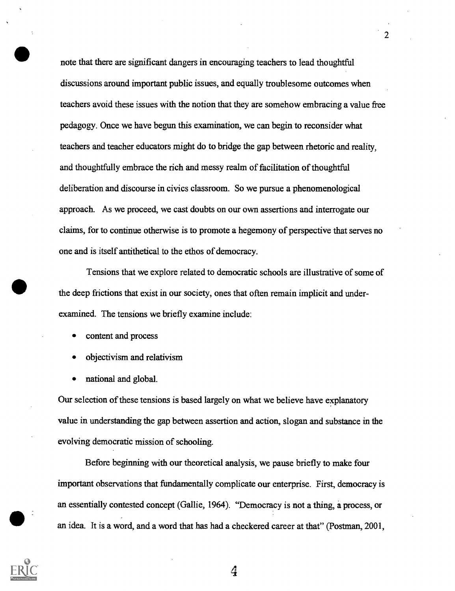note that there are significant dangers in encouraging teachers to lead thoughtful discussions around important public issues, and equally troublesome outcomes when teachers avoid these issues with the notion that they are somehow embracing a value free pedagogy. Once we have begun this examination, we can begin to reconsider what teachers and teacher educators might do to bridge the gap between rhetoric and reality, and thoughtfully embrace the rich and messy realm of facilitation of thoughtful deliberation and discourse in civics classroom. So we pursue a phenomenological approach. As we proceed, we cast doubts on our own assertions and interrogate our claims, for to continue otherwise is to promote a hegemony of perspective that serves no one and is itself antithetical to the ethos of democracy.

 $\overline{2}$ 

Tensions that we explore related to democratic schools are illustrative of some of the deep frictions that exist in our society, ones that often remain implicit and underexamined. The tensions we briefly examine include:

- content and process
- objectivism and relativism
- national and global.

Our selection of these tensions is based largely on what we believe have explanatory value in understanding the gap between assertion and action, slogan and substance in the evolving democratic mission of schooling.

Before beginning with our theoretical analysis, we pause briefly to make four important observations that fundamentally complicate our enterprise. First, democracy is an essentially contested concept (Gallie, 1964). "Democracy is not a thing, a process, or an idea. It is a word, and a word that has had a checkered career at that" (Postman, 2001,

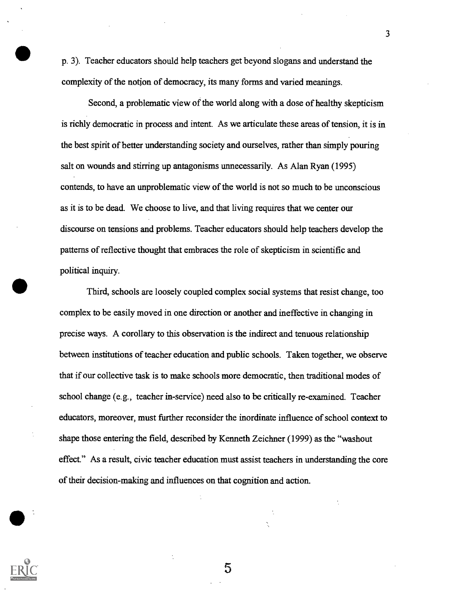p. 3). Teacher educators should help teachers get beyond slogans and understand the complexity of the notion of democracy, its many forms and varied meanings.

Second, a problematic view of the world along with a dose of healthy skepticism is richly democratic in process and intent. As we articulate these areas of tension, it is in the best spirit of better understanding society and ourselves, rather than simply pouring salt on wounds and stirring up antagonisms unnecessarily. As Alan Ryan (1995) contends, to have an unproblematic view of the world is not so much to be unconscious as it is to be dead. We choose to live, and that living requires that we center our discourse on tensions and problems. Teacher educators should help teachers develop the patterns of reflective thought that embraces the role of skepticism in scientific and political inquiry.

Third, schools are loosely coupled complex social systems that resist change, too complex to be easily moved in one direction or another and ineffective in changing in precise ways. A corollary to this observation is the indirect and tenuous relationship between institutions of teacher education and public schools. Taken together, we observe that if our collective task is to make schools more democratic, then traditional modes of school change (e.g., teacher in-service) need also to be critically re-examined. Teacher educators, moreover, must further reconsider the inordinate influence of school context to shape those entering the field, described by Kenneth Zeichner (1999) as the "washout effect." As a result, civic teacher education must assist teachers in understanding the core of their decision-making and influences on that cognition and action.

5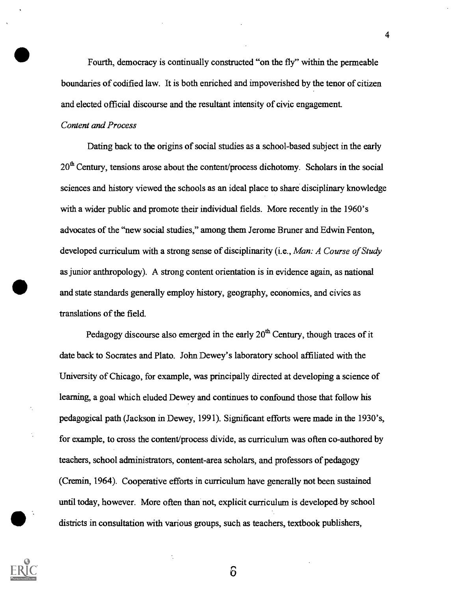Fourth, democracy is continually constructed "on the fly" within the permeable boundaries of codified law. It is both enriched and impoverished by the tenor of citizen and elected official discourse and the resultant intensity of civic engagement.

#### Content and Process

Dating back to the origins of social studies as a school-based subject in the early  $20<sup>th</sup>$  Century, tensions arose about the content/process dichotomy. Scholars in the social sciences and history viewed the schools as an ideal place to share disciplinary knowledge with a wider public and promote their individual fields. More recently in the 1960's advocates of the "new social studies," among them Jerome Bruner and Edwin Fenton, developed curriculum with a strong sense of disciplinarity (i.e., Man: A Course of Study as junior anthropology). A strong content orientation is in evidence again, as national and state standards generally employ history, geography, economics, and civics as translations of the field.

Pedagogy discourse also emerged in the early  $20<sup>th</sup>$  Century, though traces of it date back to Socrates and Plato. John Dewey's laboratory school affiliated with the University of Chicago, for example, was principally directed at developing a science of learning, a goal which eluded Dewey and continues to confound those that follow his pedagogical path (Jackson in Dewey, 1991). Significant efforts were made in the 1930's, for example, to cross the content/process divide, as curriculum was often co-authored by teachers, school administrators, content-area scholars, and professors of pedagogy (Cremin, 1964). Cooperative efforts in curriculum have generally not been sustained until today, however. More often than not, explicit curriculum is developed by school districts in consultation with various groups, such as teachers, textbook publishers,



 $\delta$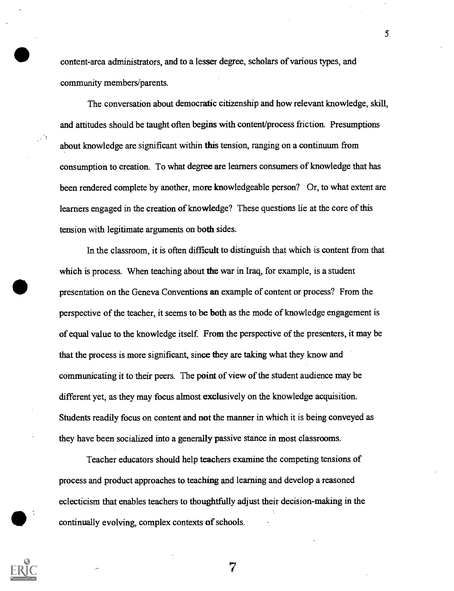content-area administrators, and to a lesser degree, scholars of various types, and community members/parents.

The conversation about democratic citizenship and how relevant knowledge, skill, and attitudes should be taught often begins with content/process friction. Presumptions about knowledge are significant within this tension, ranging on a continuum from consumption to creation. To what degree are learners consumers of knowledge that has been rendered complete by another, more knowledgeable person? Or, to what extent are learners engaged in the creation of knowledge? These questions lie at the core of this tension with legitimate arguments on both sides.

In the classroom, it is often difficult to distinguish that which is content from that which is process. When teaching about the war in Iraq, for example, is a student presentation on the Geneva Conventions an example of content or process? From the perspective of the teacher, it seems to be both as the mode of knowledge engagement is of equal value to the knowledge itself. From the perspective of the presenters, it may be that the process is more significant, since they are taking what they know and communicating it to their peers. The point of view of the student audience may be different yet, as they may focus almost exclusively on the knowledge acquisition. Students readily focus on content and not the manner in which it is being conveyed as they have been socialized into a generally passive stance in most classrooms.

Teacher educators should help teachers examine the competing tensions of process and product approaches to teaching and learning and develop a reasoned eclecticism that enables teachers to thoughtfully adjust their decision-making in the continually evolving, complex contexts of schools.

7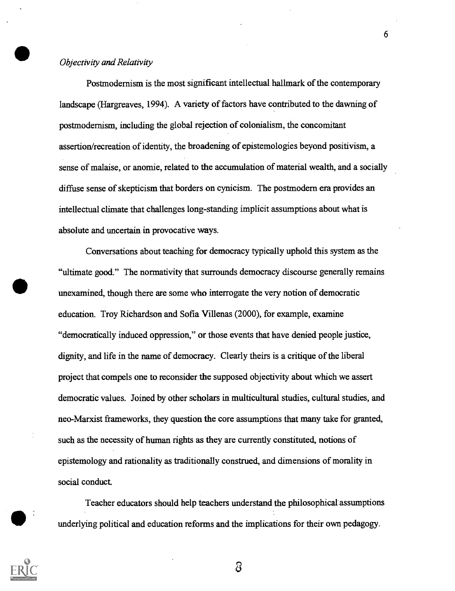#### Objectivity and Relativity

Postmodernism is the most significant intellectual hallmark of the contemporary landscape (Hargreaves, 1994). A variety of factors have contributed to the dawning of postmodernism, including the global rejection of colonialism, the concomitant assertion/recreation of identity, the broadening of epistemologies beyond positivism, a sense of malaise, or anomie, related to the accumulation of material wealth, and a socially diffuse sense of skepticism that borders on cynicism. The postmodern era provides an intellectual climate that challenges long-standing implicit assumptions about what is absolute and uncertain in provocative ways.

Conversations about teaching for democracy typically uphold this system as the "ultimate good." The normativity that surrounds democracy discourse generally remains unexamined, though there are some who interrogate the very notion of democratic education. Troy Richardson and Sofia Villenas (2000), for example, examine "democratically induced oppression," or those events that have denied people justice, dignity, and life in the name of democracy. Clearly theirs is a critique of the liberal project that compels one to reconsider the supposed objectivity about which we assert democratic values. Joined by other scholars in multicultural studies, cultural studies, and neo-Marxist frameworks, they question the core assumptions that many take for granted, such as the necessity of human rights as they are currently constituted, notions of epistemology and rationality as traditionally construed, and dimensions of morality in social conduct.

Teacher educators should help teachers understand the philosophical assumptions underlying political and education reforms and the implications for their own pedagogy.



 $\delta$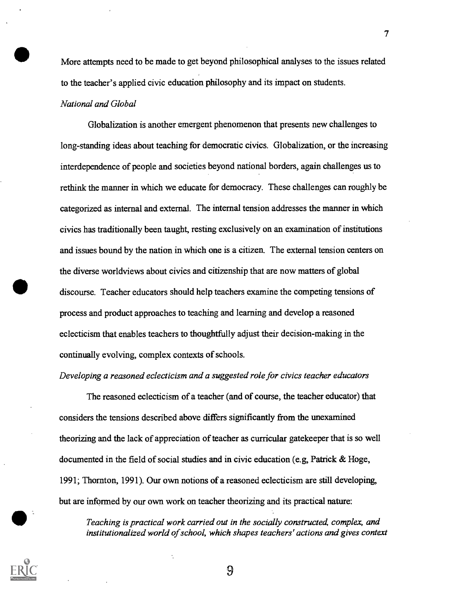More attempts need to be made to get beyond philosophical analyses to the issues related to the teacher's applied civic education philosophy and its impact on students.

#### National and Global

Globalization is another emergent phenomenon that presents new challenges to long-standing ideas about teaching for democratic civics. Globalization, or the increasing interdependence of people and societies beyond national borders, again challenges us to rethink the manner in which we educate for democracy. These challenges can roughly be categorized as internal and external. The internal tension addresses the manner in which civics has traditionally been taught, resting exclusively on an examination of institutions and issues bound by the nation in which one is a citizen. The external tension centers on the diverse worldviews about civics and citizenship that are now matters of global discourse. Teacher educators should help teachers examine the competing tensions of process and product approaches to teaching and learning and develop a reasoned eclecticism that enables teachers to thoughtfully adjust their decision-making in the continually evolving, complex contexts of schools.

#### Developing a reasoned eclecticism and a suggested role for civics teacher educators

The reasoned eclecticism of a teacher (and of course, the teacher educator) that considers the tensions described above differs significantly from the unexamined theorizing and the lack of appreciation of teacher as curricular gatekeeper that is so well documented in the field of social studies and in civic education (e.g, Patrick & Hoge, 1991; Thornton, 1991). Our own notions of a reasoned eclecticism are still developing, but are informed by our own work on teacher theorizing and its practical nature:

Teaching is practical work carried out in the socially constructed, complex, and institutionalized world of school, which shapes teachers' actions and gives context

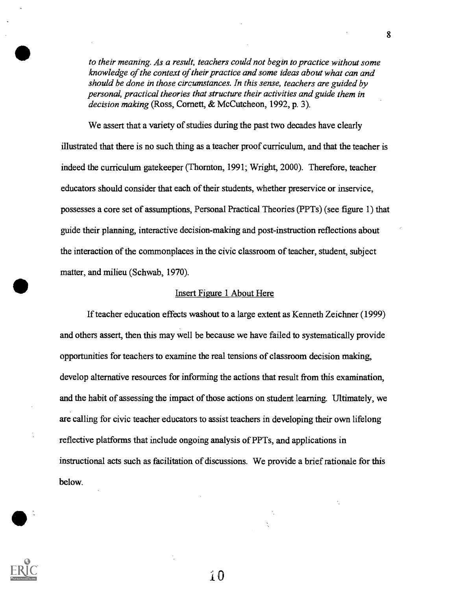to their meaning. As a result, teachers could not begin to practice without some knowledge of the context of their practice and some ideas about what can and should be done in those circumstances. In this sense, teachers are guided by personal, practical theories that structure their activities and guide them in decision making (Ross, Cornett, & McCutcheon, 1992, p. 3).

We assert that a variety of studies during the past two decades have clearly illustrated that there is no such thing as a teacher proof curriculum, and that the teacher is indeed the curriculum gatekeeper (Thornton, 1991; Wright, 2000). Therefore, teacher educators should consider that each of their students, whether preservice or inservice, possesses a core set of assumptions, Personal Practical Theories (PPTs) (see figure 1) that guide their planning, interactive decision-making and post-instruction reflections about the interaction of the commonplaces in the civic classroom of teacher, student, subject matter, and milieu (Schwab, 1970).

#### Insert Figure 1 About Here

If teacher education effects washout to a large extent as Kenneth Zeichner (1999) and others assert, then this may well be because we have failed to systematically provide opportunities for teachers to examine the real tensions of classroom decision making, develop alternative resources for informing the actions that result from this examination, and the habit of assessing the impact of those actions on student learning. Ultimately, we are calling for civic teacher educators to assist teachers in developing their own lifelong reflective platforms that include ongoing analysis of PPTs, and applications in instructional acts such as facilitation of discussions. We provide a brief rationale for this below.

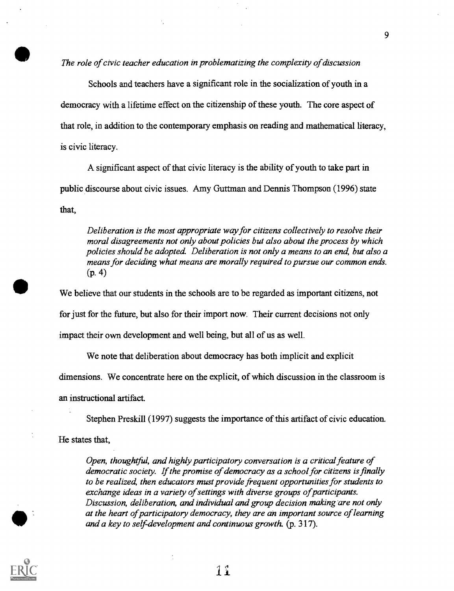The role of civic teacher education in problematizing the complexity of discussion

Schools and teachers have a significant role in the socialization of youth in a democracy with a lifetime effect on the citizenship of these youth. The core aspect of that role, in addition to the contemporary emphasis on reading and mathematical literacy, is civic literacy.

A significant aspect of that civic literacy is the ability of youth to take part in public discourse about civic issues. Amy Guttman and Dennis Thompson (1996) state that,

Deliberation is the most appropriate way for citizens collectively to resolve their moral disagreements not only about policies but also about the process by which policies should be adopted. Deliberation is not only a means to an end, but also a means for deciding what means are morally required to pursue our common ends. (p. 4)

We believe that our students in the schools are to be regarded as important citizens, not for just for the future, but also for their import now. Their current decisions not only impact their own development and well being, but all of us as well.

We note that deliberation about democracy has both implicit and explicit

dimensions. We concentrate here on the explicit, of which discussion in the classroom is

an instructional artifact.

Stephen Preskill (1997) suggests the importance of this artifact of civic education.

He states that,

Open, thoughtful, and highly participatory conversation is a critical feature of democratic society. If the promise of democracy as a school for citizens is finally to be realized, then educators must provide frequent opportunities for students to exchange ideas in a variety of settings with diverse groups of participants. Discussion, deliberation, and individual and group decision making are not only at the heart of participatory democracy, they are an important source of learning and a key to self-development and continuous growth. (p. 317).

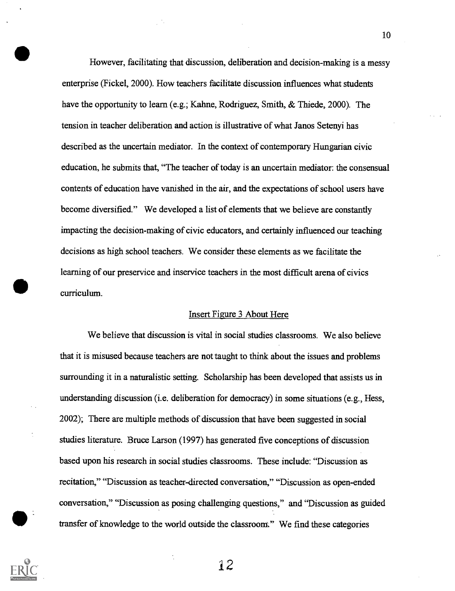However, facilitating that discussion, deliberation and decision-making is a messy enterprise (Fickel, 2000). How teachers facilitate discussion influences what students have the opportunity to learn (e.g.; Kahne, Rodriguez, Smith, & Thiede, 2000). The tension in teacher deliberation and action is illustrative of what Janos Setenyi has described as the uncertain mediator. In the context of contemporary Hungarian civic education, he submits that, "The teacher of today is an uncertain mediator: the consensual contents of education have vanished in the air, and the expectations of school users have become diversified." We developed a list of elements that we believe are constantly impacting the decision-making of civic educators, and certainly influenced our teaching decisions as high school teachers. We consider these elements as we facilitate the learning of our preservice and inservice teachers in the most difficult arena of civics curriculum.

#### Insert Figure 3 About Here

We believe that discussion is vital in social studies classrooms. We also believe that it is misused because teachers are not taught to think about the issues and problems surrounding it in a naturalistic setting. Scholarship has been developed that assists us in understanding discussion (i.e. deliberation for democracy) in some situations (e.g., Hess, 2002); There are multiple methods of discussion that have been suggested in social studies literature. Bruce Larson (1997) has generated five conceptions of discussion based upon his research in social studies classrooms. These include: "Discussion as recitation," "Discussion as teacher-directed conversation," "Discussion as open-ended conversation," "Discussion as posing challenging questions," and "Discussion as guided transfer of knowledge to the world outside the classroom'," We find these categories



12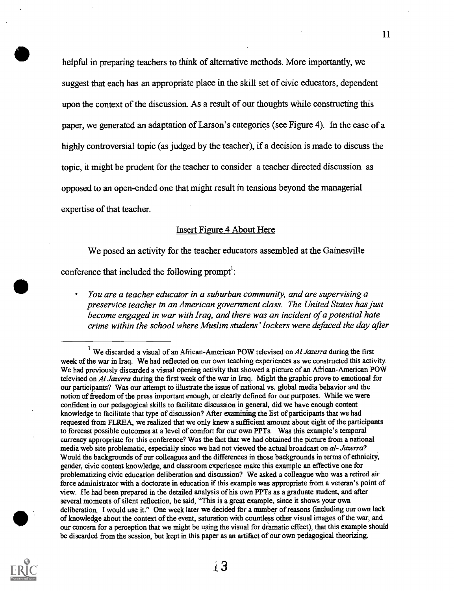helpful in preparing teachers to think of alternative methods. More importantly, we suggest that each has an appropriate place in the skill set of civic educators, dependent upon the context of the discussion. As a result of our thoughts while constructing this paper, we generated an adaptation of Larson's categories (see Figure 4). In the case of a highly controversial topic (as judged by the teacher), if a decision is made to discuss the topic, it might be prudent for the teacher to consider a teacher directed discussion as opposed to an open-ended one that might result in tensions beyond the managerial expertise of that teacher.

#### Insert Figure 4 About Here

We posed an activity for the teacher educators assembled at the Gainesville

conference that included the following prompt $\cdot$ :

You are a teacher educator in a suburban community, and are supervising a preservice teacher in an American government class. The United States has just become engaged in war with Iraq, and there was an incident of a potential hate crime within the school where Muslim studens' lockers were defaced the day after

<sup>&</sup>lt;sup>1</sup> We discarded a visual of an African-American POW televised on Al Jazerra during the first week of the war in Iraq. We had reflected on our own teaching experiences as we constructed this activity. We had previously discarded a visual opening activity that showed a picture of an African-American POW televised on Al Jazerra during the first week of the war in Iraq. Might the graphic prove to emotional for our participants? Was our attempt to illustrate the issue of national vs. global media behavior and the notion of freedom of the press important enough, or clearly defined for our purposes. While we were confident in our pedagogical skills to facilitate discussion in general, did we have enough content knowledge to facilitate that type of discussion? After examining the list of participants that we had requested from FLREA, we realized that we only knew a sufficient amount about eight of the participants to forecast possible outcomes at a level of comfort for our own PPTs. Was this example's temporal currency appropriate for this conference? Was the fact that we had obtained the picture from a national media web site problematic, especially since we had not viewed the actual broadcast on al- Jazerra? Would the backgrounds of our colleagues and the differences in those backgrounds in terms of ethnicity, gender, civic content knowledge, and classroom experience make this example an effective one for problematizing civic education deliberation and discussion? We asked a colleague who was a retired air force administrator with a doctorate in education if this example was appropriate from a veteran's point of view. He had been prepared in the detailed analysis of his own PPTs as a graduate student, and after several moments of silent reflection, he said, "This is a great example, since it shows your own deliberation. I would use it." One week later we decided for a number of reasons (including our own lack of knowledge about the context of the event, saturation with countless other visual images of the war, and our concern for a perception that we might be using the visual for dramatic effect), that this example should be discarded from the session, but kept in this paper as an artifact of our own pedagogical theorizing.



i3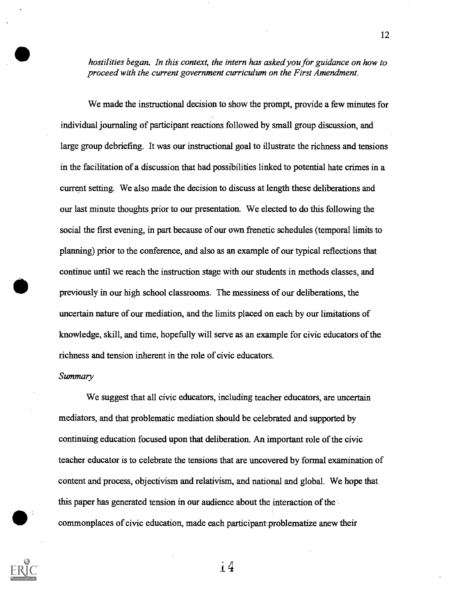hostilities began. In this context, the intern has asked you for guidance on how to proceed with the current government curriculum on the First Amendment.

We made the instructional decision to show the prompt, provide a few minutes for individual joumaling of participant reactions followed by small group discussion, and large group debriefing. It was our instructional goal to illustrate the richness and tensions in the facilitation of a discussion that had possibilities linked to potential hate crimes in a current setting. We also made the decision to discuss at length these deliberations and our last minute thoughts prior to our presentation. We elected to do this following the social the first evening, in part because of our own frenetic schedules (temporal limits to planning) prior to the conference, and also as an example of our typical reflections that continue until we reach the instruction stage with our students in methods classes, and previously in our high school classrooms. The messiness of our deliberations, the uncertain nature of our mediation, and the limits placed on each by our limitations of knowledge, skill, and time, hopefully will serve as an example for civic educators of the richness and tension inherent in the role of civic educators.

#### Summary

We suggest that all civic educators, including teacher educators, are uncertain mediators, and that problematic mediation should be celebrated and supported by continuing education focused upon that deliberation. An important role of the civic teacher educator is to celebrate the tensions that are uncovered by formal examination of content and process, objectivism and relativism, and national and global. We hope that this paper has generated tension in our audience about the interaction of the commonplaces of civic education, made each participant problematize anew their



i4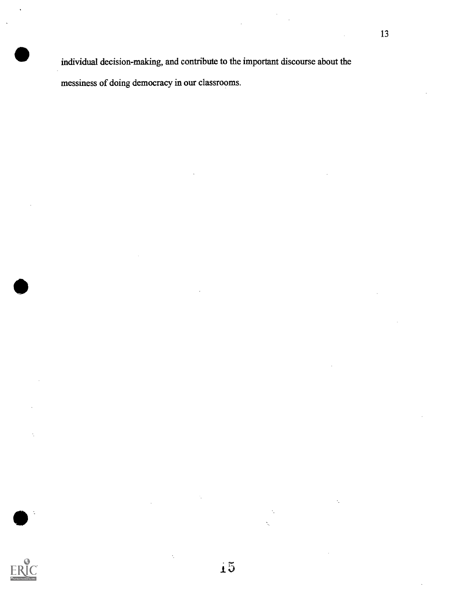individual decision-making, and contribute to the important discourse about the messiness of doing democracy in our classrooms.

15

 $\ddot{\phantom{0}}$ 

 $\ddot{\phantom{a}}$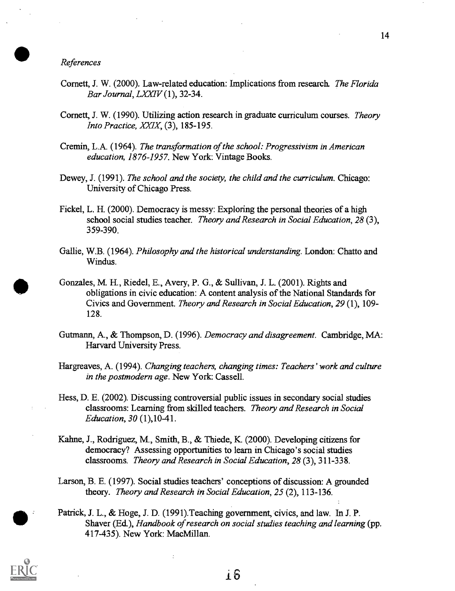References

- Cornett, J. W. (2000). Law-related education: Implications from research The Florida Bar Journal, LXXIV (1), 32-34.
- Cornett, J. W. (1990). Utilizing action research in graduate curriculum courses. Theory Into Practice, XXIX, (3), 185-195.
- Cremin, L.A. (1964). The transformation of the school: Progressivism in American education, 1876-1957. New York: Vintage Books.
- Dewey, J. (1991). The school and the society, the child and the curriculum. Chicago: University of Chicago Press.
- Fickel, L. H. (2000). Democracy is messy: Exploring the personal theories of a high school social studies teacher. Theory and Research in Social Education, 28 (3), 359-390.
- Gallie, W.B. (1964). Philosophy and the historical understanding. London: Chatto and Windus.
- Gonzales, M. H., Riedel, E., Avery, P. G., & Sullivan, J. L. (2001). Rights and obligations in civic education: A content analysis of the National Standards for Civics and Government. Theory and Research in Social Education, 29 (1), 109- 128.
- Gutmann, A., & Thompson, D. (1996). Democracy and disagreement. Cambridge, MA: Harvard University Press.
- Hargreaves, A. (1994). Changing teachers, changing times: Teachers' work and culture in the postmodern age. New York: Cassell.
- Hess, D. E. (2002). Discussing controversial public issues in secondary social studies classrooms: Learning from skilled teachers. Theory and Research in Social Education, 30 (1),10-41.
- Kahne, J., Rodriguez, M., Smith, B., & Thiede, K. (2000). Developing citizens for democracy? Assessing opportunities to learn in Chicago's social studies classrooms. Theory and Research in Social Education, 28 (3), 311-338.
- Larson, B. E. (1997). Social studies teachers' conceptions of discussion: A grounded theory. Theory and Research in Social Education, 25 (2), 113-136.
- Patrick, J. L., & Hoge, J. D. (1991).Teaching government, civics, and law. In J. P. Shaver (Ed.), Handbook of research on social studies teaching and learning (pp. 417-435). New York: MacMillan.



*i* 6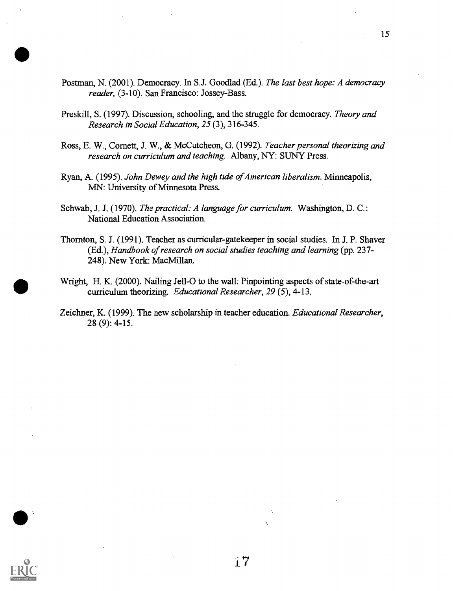- Postman, N. (2001). Democracy. In S.J. Goodlad (Ed.). The last best hope: A democracy reader, (3-10). San Francisco: Jossey-Bass.
- Preskill, S. (1997). Discussion, schooling, and the struggle for democracy. Theory and Research in Social Education, 25 (3), 316-345.
- Ross, E. W., Cornett, J. W., & McCutcheon, G. (1992). Teacher personal theorizing and research on curriculum and teaching. Albany, NY: SUNY Press.
- Ryan, A. (1995). John Dewey and the high tide of American liberalism. Minneapolis, MN: University of Minnesota Press.
- Schwab, J. J. (1970). The practical: A language for curriculum. Washington, D. C.: National Education Association.
- Thornton, S. J. (1991). Teacher as curricular-gatekeeper in social studies. In J. P. Shaver (Ed.), Handbook of research on social studies teaching and learning (pp. 237- 248). New York: MacMillan.
- Wright, H. K. (2000). Nailing Jell-O to the wall: Pinpointing aspects of state-of-the-art curriculum theorizing. Educational Researcher, 29 (5), 4-13.
- Zeichner, K. (1999). The new scholarship in teacher education. Educational Researcher, 28 (9): 4-15.



17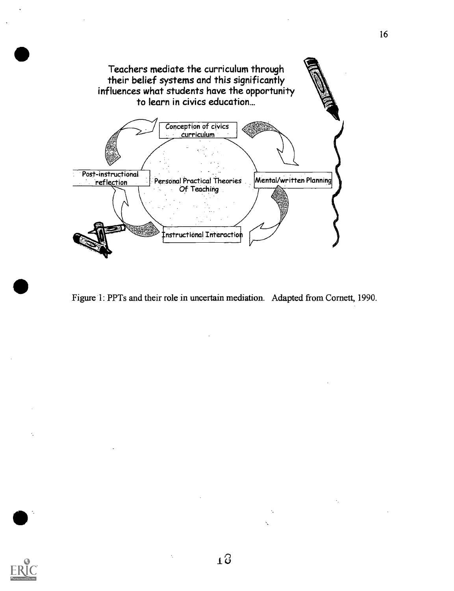

Figure 1: PPTs and their role in uncertain mediation. Adapted from Cornett, 1990.

 $\overline{a}$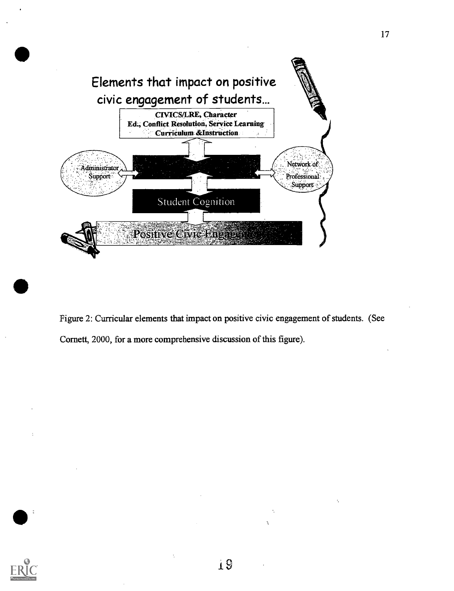

Figure 2: Curricular elements that impact on positive civic engagement of students. (See Cornett, 2000, for a more comprehensive discussion of this figure).

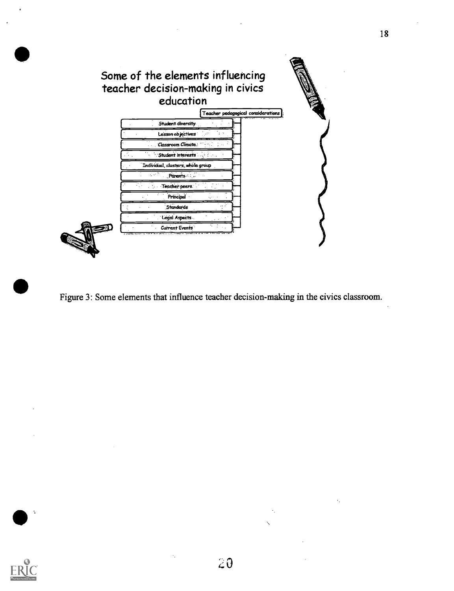



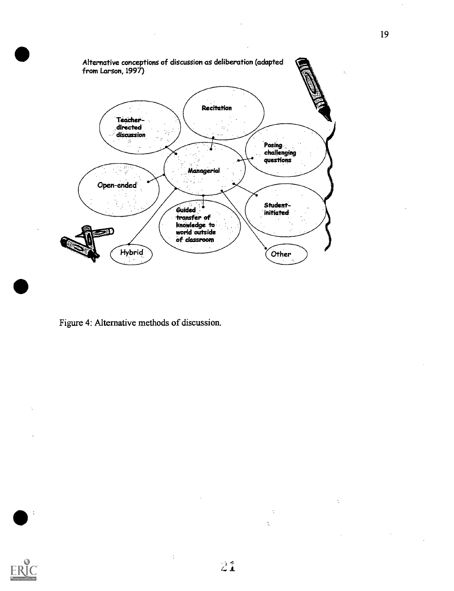

Figure 4: Alternative methods of discussion.



 $\ddot{\cdot}$ 

 $\ddot{\phantom{a}}$ 

 $\frac{1}{2}$ 

Ň

 $\ddot{\psi}$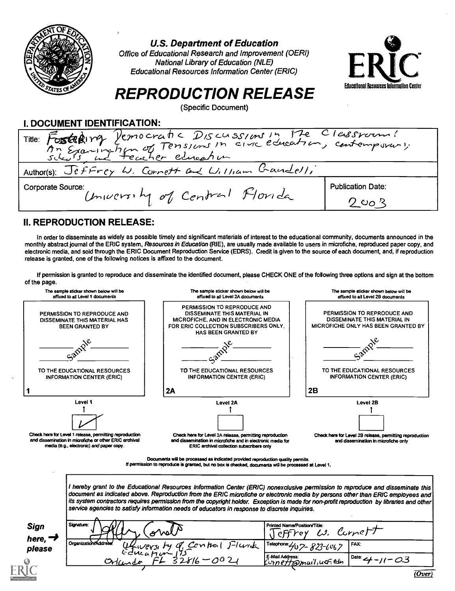

U.S. Department of Education

Office of Educational Research and Improvement (OERI) National Library of Education (NLE) Educational Resources Information Center (ERIC)



# REPRODUCTION RELEASE

(Specific Document)

I. DOCUMENT IDENTIFICATION:

| Title: Fosteping Vernocratic Discussions in the Classroom!<br>An Examination of Tensions in circ education, contemporary. |                          |
|---------------------------------------------------------------------------------------------------------------------------|--------------------------|
| Author(s): Jeffrey W. Cornett and William Gaudell,                                                                        |                          |
| <b>Corporate Source:</b>                                                                                                  | <b>Publication Date:</b> |
| University of Central Florida                                                                                             | $2$ co $3$               |

### II. REPRODUCTION RELEASE:

In order to disseminate as widely as possible timely and significant materials of interest to the educational community, documents announced in the monthly abstract journal of the ERIC system, Resources in Education (RIE), are usually made available to users in microfiche, reproduced paper copy, and electronic media, and sold through the ERIC Document Reproduction Service (EDRS). Credit is given to the source of each document, and, if reproduction release is granted, one of the following notices is affixed to the document.

If permission is granted to reproduce and disseminate the identified document, please CHECK ONE of the following three options and sign at the bottom of the page.



| Sign                | Signature |
|---------------------|-----------|
| here, $\rightarrow$ | Organiza  |
| please              |           |

| <b>Sign</b><br>here, ¬ | Signature:<br>Wi<br>ക്                                              | Printed Name/Position/Title:<br>IJ,<br>rey | curveF                               |
|------------------------|---------------------------------------------------------------------|--------------------------------------------|--------------------------------------|
| please                 | Officers by q Contral Flunch<br>Organization/Address:<br>Gducation' | . Telephone: 407-823-6067                  | FAX.                                 |
|                        | Orlando                                                             | E-Mail Address:<br>Kurnett @mail, ucf. edu | $I$ Date: $I$<br>$11 - 03$<br>(Over) |